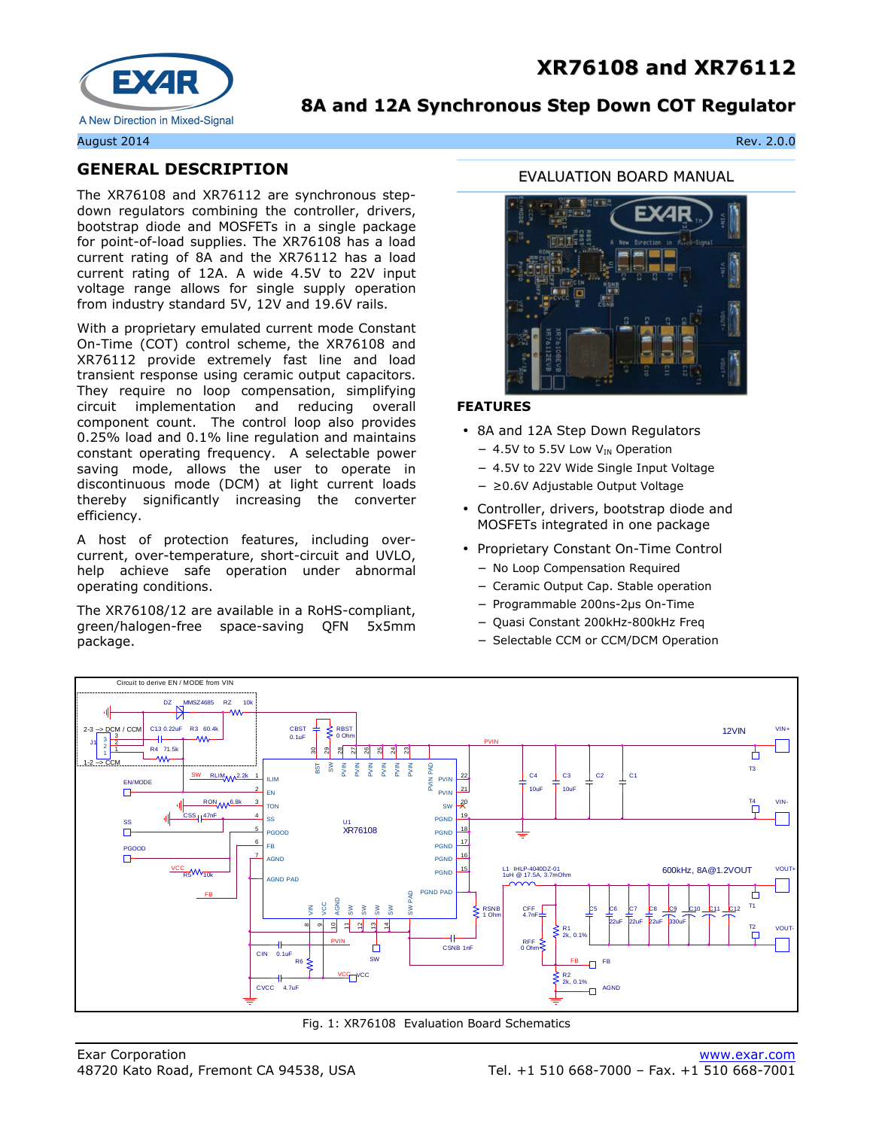# **XR76108 and XR76112**



## **8A and 12A Synchronous Step Down COT Regulator**

#### August 2014 Rev. 2.0.0

### **GENERAL DESCRIPTION**

The XR76108 and XR76112 are synchronous stepdown regulators combining the controller, drivers, bootstrap diode and MOSFETs in a single package for point-of-load supplies. The XR76108 has a load current rating of 8A and the XR76112 has a load current rating of 12A. A wide 4.5V to 22V input voltage range allows for single supply operation from industry standard 5V, 12V and 19.6V rails.

With a proprietary emulated current mode Constant On-Time (COT) control scheme, the XR76108 and XR76112 provide extremely fast line and load transient response using ceramic output capacitors. They require no loop compensation, simplifying circuit implementation and reducing overall component count. The control loop also provides 0.25% load and 0.1% line regulation and maintains constant operating frequency. A selectable power saving mode, allows the user to operate in discontinuous mode (DCM) at light current loads thereby significantly increasing the converter efficiency.

A host of protection features, including overcurrent, over-temperature, short-circuit and UVLO, help achieve safe operation under abnormal operating conditions.

The XR76108/12 are available in a RoHS-compliant, green/halogen-free space-saving QFN 5x5mm package.

#### EVALUATION BOARD MANUAL



#### **FEATURES**

- 8A and 12A Step Down Regulators
	- − 4.5V to 5.5V Low V<sub>IN</sub> Operation
- − 4.5V to 22V Wide Single Input Voltage
- − ≥0.6V Adjustable Output Voltage
- Controller, drivers, bootstrap diode and MOSFETs integrated in one package
- Proprietary Constant On-Time Control
	- − No Loop Compensation Required
	- − Ceramic Output Cap. Stable operation
	- − Programmable 200ns-2µs On-Time
	- − Quasi Constant 200kHz-800kHz Freq
	- − Selectable CCM or CCM/DCM Operation



Fig. 1: XR76108 Evaluation Board Schematics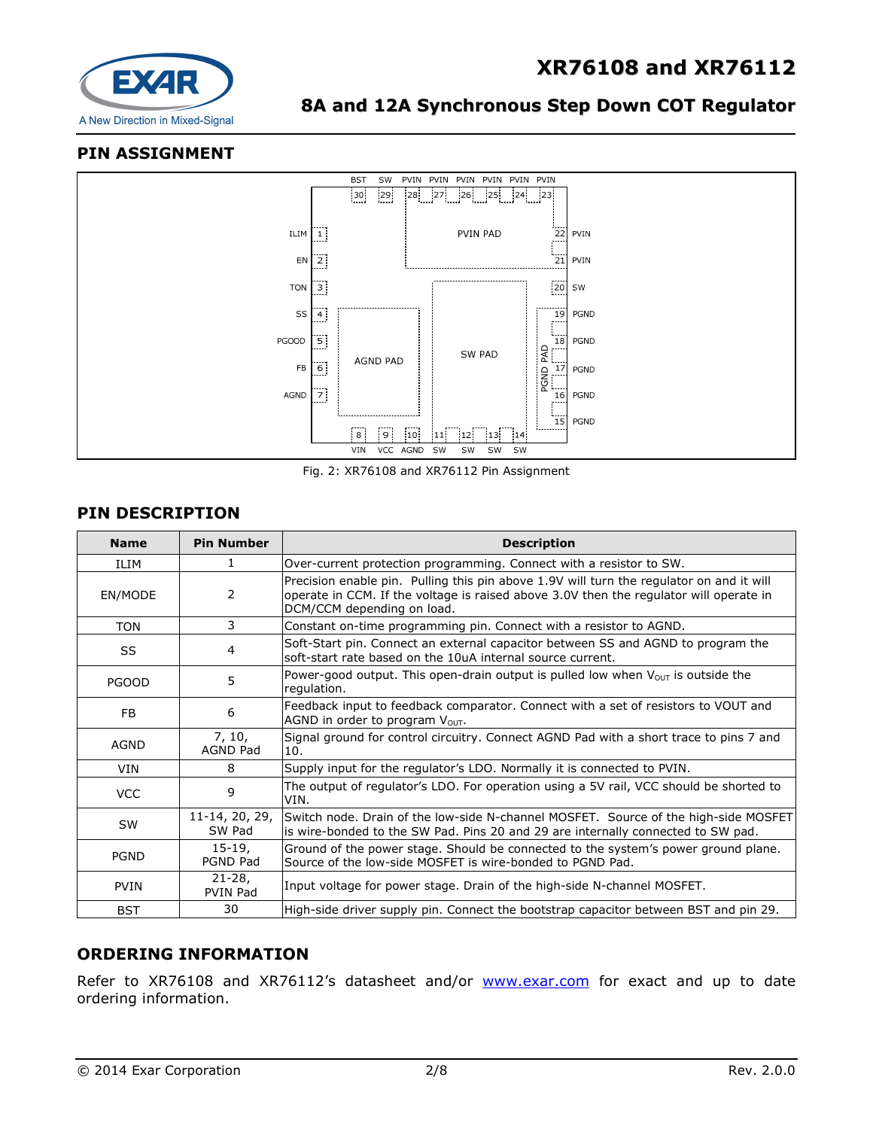

## **PIN ASSIGNMENT**



Fig. 2: XR76108 and XR76112 Pin Assignment

### **PIN DESCRIPTION**

| <b>Name</b>  | <b>Pin Number</b>         | <b>Description</b>                                                                                                                                                                                               |
|--------------|---------------------------|------------------------------------------------------------------------------------------------------------------------------------------------------------------------------------------------------------------|
| ILIM         | 1                         | Over-current protection programming. Connect with a resistor to SW.                                                                                                                                              |
| EN/MODE      | 2                         | Precision enable pin. Pulling this pin above 1.9V will turn the regulator on and it will<br>operate in CCM. If the voltage is raised above 3.0V then the regulator will operate in<br>DCM/CCM depending on load. |
| <b>TON</b>   | 3                         | Constant on-time programming pin. Connect with a resistor to AGND.                                                                                                                                               |
| SS           | 4                         | Soft-Start pin. Connect an external capacitor between SS and AGND to program the<br>soft-start rate based on the 10uA internal source current.                                                                   |
| <b>PGOOD</b> | 5                         | Power-good output. This open-drain output is pulled low when $V_{\text{OUT}}$ is outside the<br>regulation.                                                                                                      |
| <b>FB</b>    | 6                         | Feedback input to feedback comparator. Connect with a set of resistors to VOUT and<br>AGND in order to program Vout.                                                                                             |
| AGND         | 7, 10,<br><b>AGND Pad</b> | Signal ground for control circuitry. Connect AGND Pad with a short trace to pins 7 and<br>10.                                                                                                                    |
| <b>VIN</b>   | 8                         | Supply input for the regulator's LDO. Normally it is connected to PVIN.                                                                                                                                          |
| <b>VCC</b>   | 9                         | The output of regulator's LDO. For operation using a 5V rail, VCC should be shorted to<br>VIN.                                                                                                                   |
| SW           | 11-14, 20, 29,<br>SW Pad  | Switch node. Drain of the low-side N-channel MOSFET. Source of the high-side MOSFET<br>is wire-bonded to the SW Pad. Pins 20 and 29 are internally connected to SW pad.                                          |
| <b>PGND</b>  | $15-19,$<br>PGND Pad      | Ground of the power stage. Should be connected to the system's power ground plane.<br>Source of the low-side MOSFET is wire-bonded to PGND Pad.                                                                  |
| <b>PVIN</b>  | $21 - 28$<br>PVIN Pad     | Input voltage for power stage. Drain of the high-side N-channel MOSFET.                                                                                                                                          |
| <b>BST</b>   | 30                        | High-side driver supply pin. Connect the bootstrap capacitor between BST and pin 29.                                                                                                                             |

## **ORDERING INFORMATION**

Refer to XR76108 and XR76112's datasheet and/or www.exar.com for exact and up to date ordering information.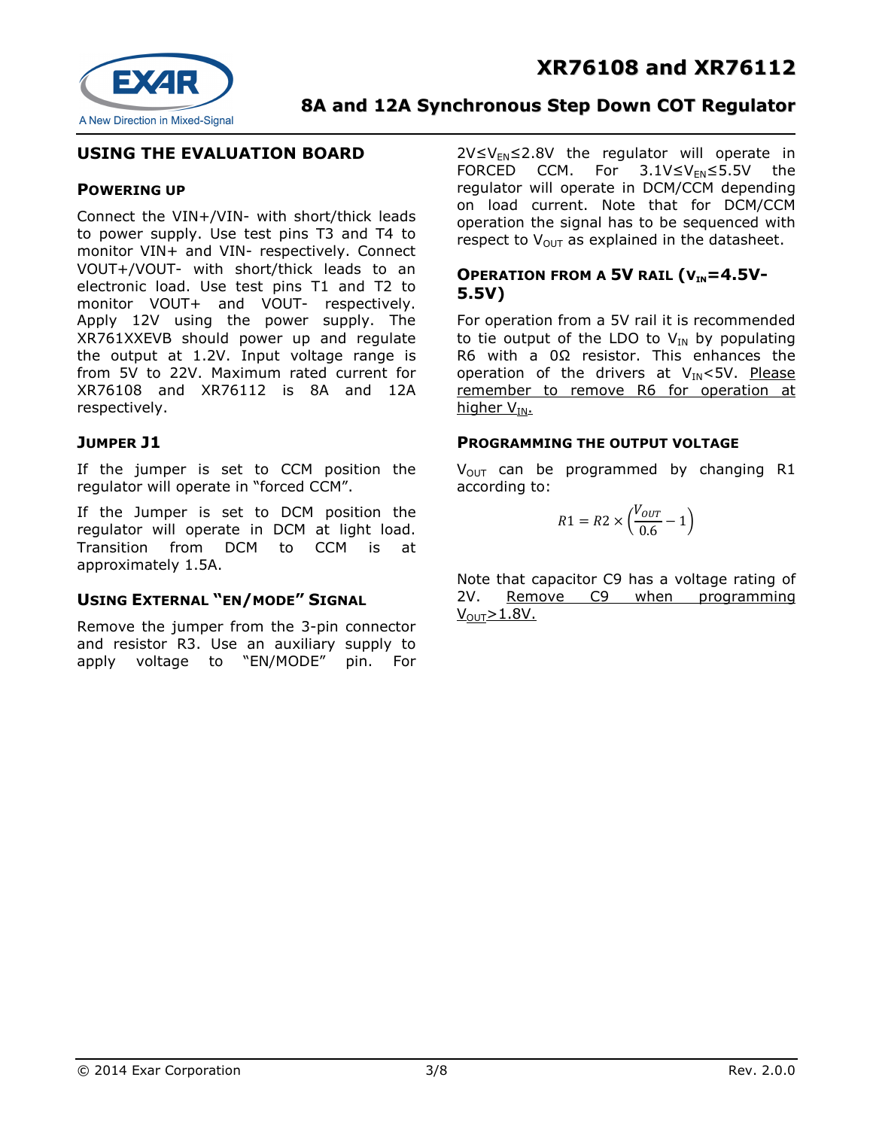



## **USING THE EVALUATION BOARD**

#### **POWERING UP**

Connect the VIN+/VIN- with short/thick leads to power supply. Use test pins T3 and T4 to monitor VIN+ and VIN- respectively. Connect VOUT+/VOUT- with short/thick leads to an electronic load. Use test pins T1 and T2 to monitor VOUT+ and VOUT- respectively. Apply 12V using the power supply. The XR761XXEVB should power up and regulate the output at 1.2V. Input voltage range is from 5V to 22V. Maximum rated current for XR76108 and XR76112 is 8A and 12A respectively.

#### **JUMPER J1**

If the jumper is set to CCM position the regulator will operate in "forced CCM".

If the Jumper is set to DCM position the regulator will operate in DCM at light load. Transition from DCM to CCM is at approximately 1.5A.

### **USING EXTERNAL "EN/MODE" SIGNAL**

Remove the jumper from the 3-pin connector and resistor R3. Use an auxiliary supply to apply voltage to "EN/MODE" pin. For  $2V \le V_{FN} \le 2.8V$  the regulator will operate in FORCED CCM. For  $3.1V \leq V_{FN} \leq 5.5V$  the regulator will operate in DCM/CCM depending on load current. Note that for DCM/CCM operation the signal has to be sequenced with respect to  $V_{\text{OUT}}$  as explained in the datasheet.

## **OPERATION FROM A 5V RAIL (** $V_{IN} = 4.5V$ **-5.5V)**

For operation from a 5V rail it is recommended to tie output of the LDO to  $V_{IN}$  by populating R6 with a 0Ω resistor. This enhances the operation of the drivers at  $V_{IN}$ <5V. Please remember to remove R6 for operation at higher V<sub>IN</sub>.

#### **PROGRAMMING THE OUTPUT VOLTAGE**

 $V_{\text{OUT}}$  can be programmed by changing R1 according to:

$$
R1 = R2 \times \left(\frac{V_{OUT}}{0.6} - 1\right)
$$

Note that capacitor C9 has a voltage rating of 2V. Remove C9 when programming  $V_{\text{OUT}} > 1.8V$ .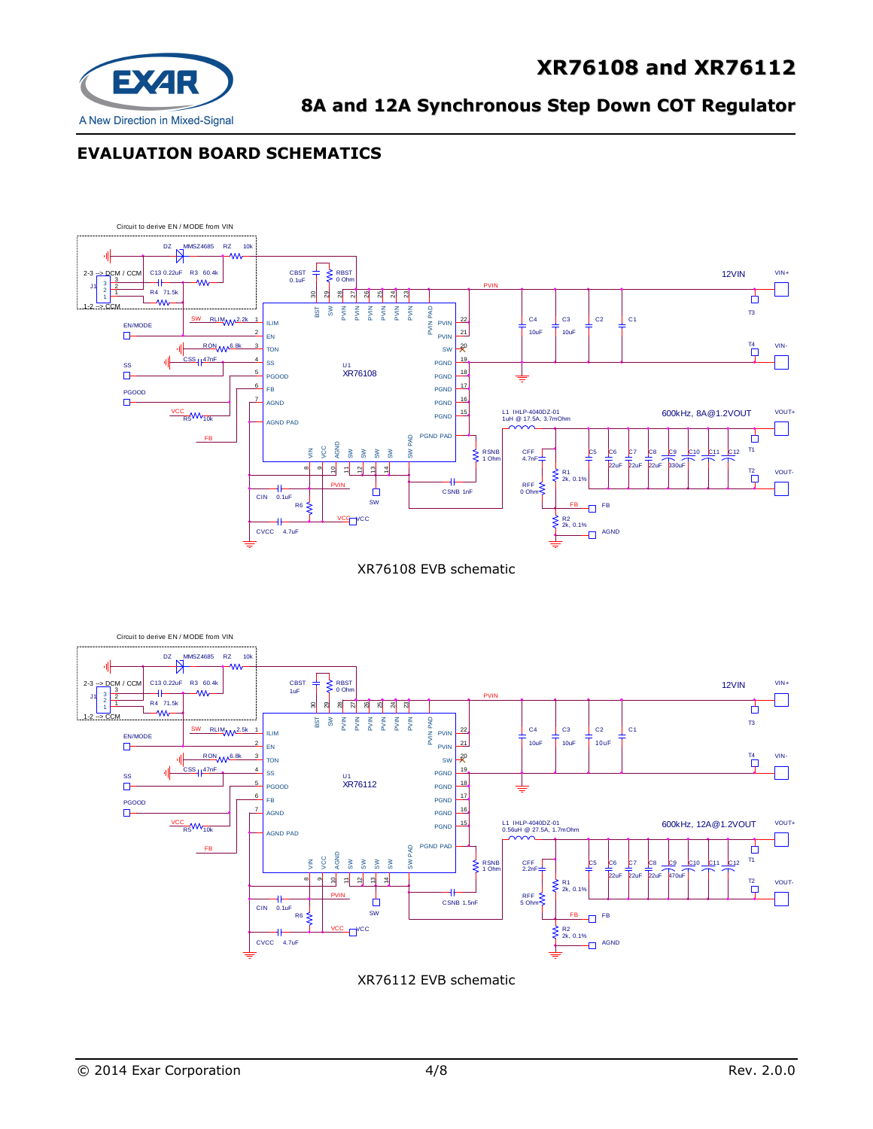

# **EVALUATION BOARD SCHEMATICS**



XR76108 EVB schematic



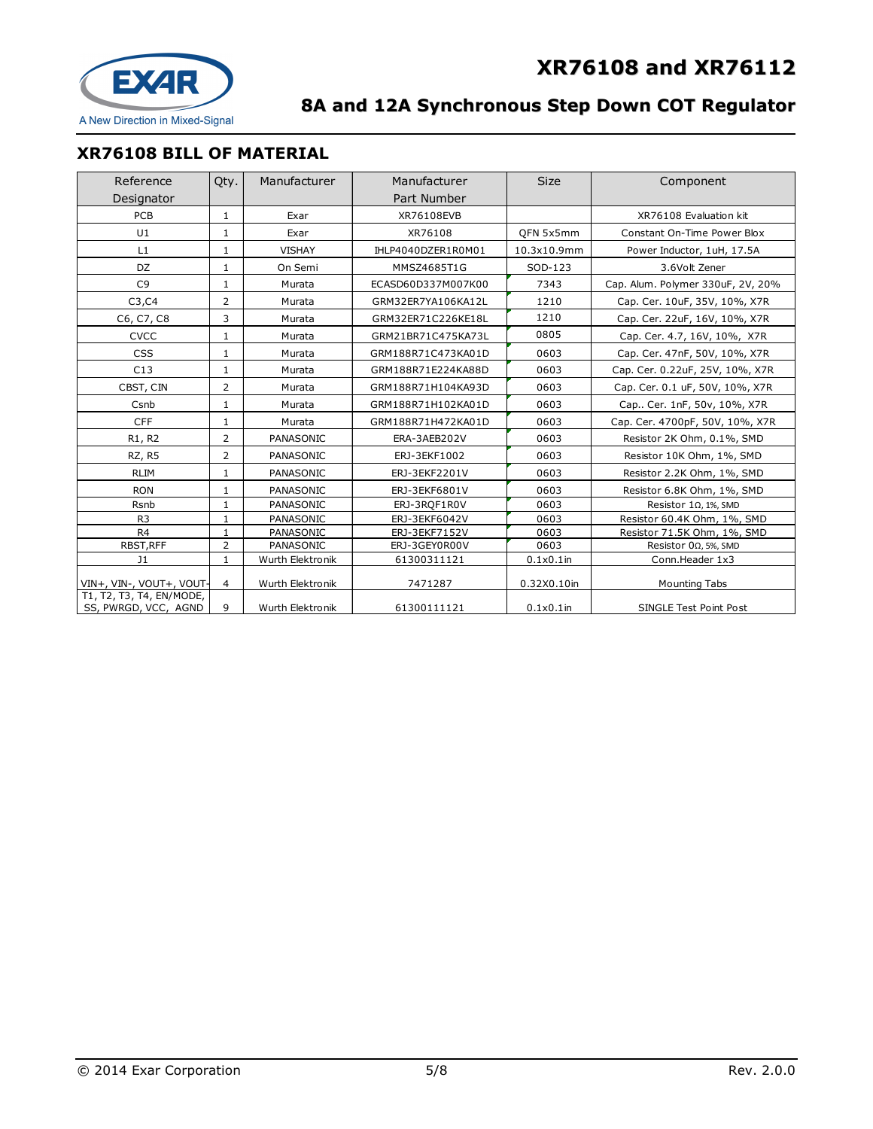

# **XR76108 BILL OF MATERIAL**

| Reference                       | Qty.           | Manufacturer     | Manufacturer       | <b>Size</b>  | Component                         |
|---------------------------------|----------------|------------------|--------------------|--------------|-----------------------------------|
| Designator                      |                |                  | Part Number        |              |                                   |
| PCB                             | $\mathbf{1}$   | Exar             | XR76108EVB         |              | XR76108 Evaluation kit            |
| U1                              | 1              | Exar             | XR76108            | QFN 5x5mm    | Constant On-Time Power Blox       |
| L1                              | 1              | <b>VISHAY</b>    | IHLP4040DZER1R0M01 | 10.3x10.9mm  | Power Inductor, 1uH, 17.5A        |
| DZ.                             | 1              | On Semi          | MMSZ4685T1G        | SOD-123      | 3.6Volt Zener                     |
| C <sub>9</sub>                  | 1              | Murata           | ECASD60D337M007K00 | 7343         | Cap. Alum. Polymer 330uF, 2V, 20% |
| C3, C4                          | $\overline{2}$ | Murata           | GRM32ER7YA106KA12L | 1210         | Cap. Cer. 10uF, 35V, 10%, X7R     |
| C6, C7, C8                      | 3              | Murata           | GRM32ER71C226KE18L | 1210         | Cap. Cer. 22uF, 16V, 10%, X7R     |
| <b>CVCC</b>                     | $\mathbf{1}$   | Murata           | GRM21BR71C475KA73L | 0805         | Cap. Cer. 4.7, 16V, 10%, X7R      |
| CSS                             | 1              | Murata           | GRM188R71C473KA01D | 0603         | Cap. Cer. 47nF, 50V, 10%, X7R     |
| C13                             | 1              | Murata           | GRM188R71E224KA88D | 0603         | Cap. Cer. 0.22uF, 25V, 10%, X7R   |
| CBST, CIN                       | $\overline{2}$ | Murata           | GRM188R71H104KA93D | 0603         | Cap. Cer. 0.1 uF, 50V, 10%, X7R   |
| Csnb                            | $\mathbf{1}$   | Murata           | GRM188R71H102KA01D | 0603         | Cap Cer. 1nF, 50v, 10%, X7R       |
| <b>CFF</b>                      | $\mathbf{1}$   | Murata           | GRM188R71H472KA01D | 0603         | Cap. Cer. 4700pF, 50V, 10%, X7R   |
| R <sub>1</sub> , R <sub>2</sub> | 2              | PANASONIC        | ERA-3AEB202V       | 0603         | Resistor 2K Ohm, 0.1%, SMD        |
| RZ, R5                          | $\overline{2}$ | PANASONIC        | ERJ-3EKF1002       | 0603         | Resistor 10K Ohm, 1%, SMD         |
| <b>RLIM</b>                     | 1              | PANASONIC        | ERJ-3EKF2201V      | 0603         | Resistor 2.2K Ohm, 1%, SMD        |
| <b>RON</b>                      | 1              | PANASONIC        | ERJ-3EKF6801V      | 0603         | Resistor 6.8K Ohm, 1%, SMD        |
| Rsnb                            | $\mathbf{1}$   | PANASONIC        | ERJ-3RQF1R0V       | 0603         | Resistor $1\Omega$ , 1%, SMD      |
| R <sub>3</sub>                  | $\mathbf{1}$   | PANASONIC        | ERJ-3EKF6042V      | 0603         | Resistor 60.4K Ohm, 1%, SMD       |
| R <sub>4</sub>                  | $\mathbf{1}$   | PANASONIC        | ERJ-3EKF7152V      | 0603         | Resistor 71.5K Ohm, 1%, SMD       |
| RBST, RFF                       | $\overline{2}$ | PANASONIC        | ERJ-3GEY0R00V      | 0603         | Resistor $0\Omega$ , 5%, SMD      |
| J1                              | $\mathbf{1}$   | Wurth Elektronik | 61300311121        | $0.1x0.1$ in | Conn.Header 1x3                   |
| VIN+, VIN-, VOUT+, VOUT-        | $\overline{4}$ | Wurth Elektronik | 7471287            | 0.32X0.10in  | <b>Mounting Tabs</b>              |
| T1, T2, T3, T4, EN/MODE,        |                |                  |                    |              |                                   |
| SS, PWRGD, VCC, AGND            | 9              | Wurth Elektronik | 61300111121        | $0.1x0.1$ in | SINGLE Test Point Post            |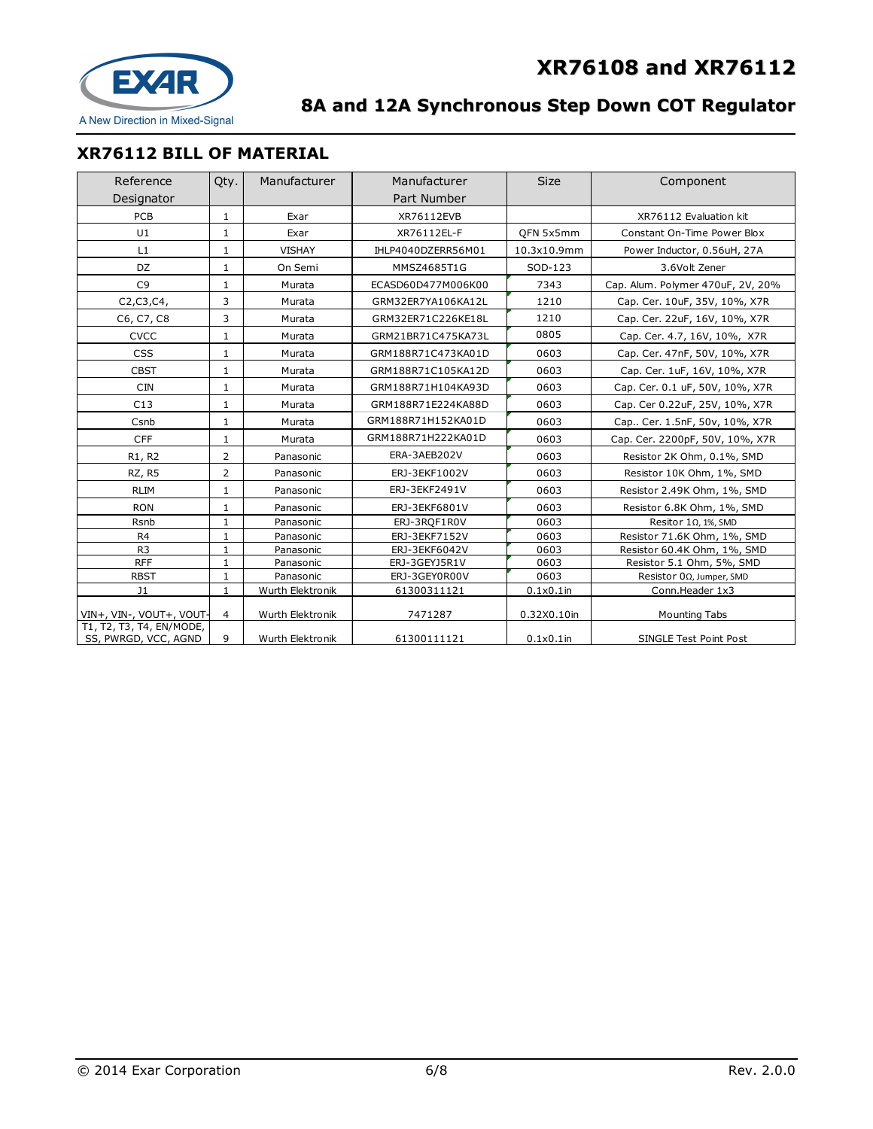

# **XR76112 BILL OF MATERIAL**

| Reference<br>Designator                          | Qty.           | Manufacturer     | Manufacturer<br>Part Number | <b>Size</b>  | Component                         |
|--------------------------------------------------|----------------|------------------|-----------------------------|--------------|-----------------------------------|
| <b>PCB</b>                                       | $\mathbf 1$    | Exar             | XR76112EVB                  |              | XR76112 Evaluation kit            |
| U1                                               | 1              | Exar             | XR76112EL-F                 | OFN 5x5mm    | Constant On-Time Power Blox       |
| L1                                               | 1              | <b>VISHAY</b>    | IHLP4040DZERR56M01          | 10.3x10.9mm  | Power Inductor, 0.56uH, 27A       |
| DZ                                               | 1              | On Semi          | MMSZ4685T1G                 | SOD-123      | 3.6Volt Zener                     |
| C <sub>9</sub>                                   | 1              | Murata           | ECASD60D477M006K00          | 7343         | Cap. Alum. Polymer 470uF, 2V, 20% |
| C2, C3, C4,                                      | 3              | Murata           | GRM32ER7YA106KA12L          | 1210         | Cap. Cer. 10uF, 35V, 10%, X7R     |
| C6, C7, C8                                       | 3              | Murata           | GRM32ER71C226KE18L          | 1210         | Cap. Cer. 22uF, 16V, 10%, X7R     |
| <b>CVCC</b>                                      | 1              | Murata           | GRM21BR71C475KA73L          | 0805         | Cap. Cer. 4.7, 16V, 10%, X7R      |
| CSS                                              | $\mathbf{1}$   | Murata           | GRM188R71C473KA01D          | 0603         | Cap. Cer. 47nF, 50V, 10%, X7R     |
| <b>CBST</b>                                      | 1              | Murata           | GRM188R71C105KA12D          | 0603         | Cap. Cer. 1uF, 16V, 10%, X7R      |
| <b>CIN</b>                                       | $\mathbf 1$    | Murata           | GRM188R71H104KA93D          | 0603         | Cap. Cer. 0.1 uF, 50V, 10%, X7R   |
| C13                                              | $\mathbf{1}$   | Murata           | GRM188R71E224KA88D          | 0603         | Cap. Cer 0.22uF, 25V, 10%, X7R    |
| Csnb                                             | $\mathbf{1}$   | Murata           | GRM188R71H152KA01D          | 0603         | Cap Cer. 1.5nF, 50v, 10%, X7R     |
| <b>CFF</b>                                       | 1              | Murata           | GRM188R71H222KA01D          | 0603         | Cap. Cer. 2200pF, 50V, 10%, X7R   |
| R1, R2                                           | $\overline{2}$ | Panasonic        | ERA-3AEB202V                | 0603         | Resistor 2K Ohm, 0.1%, SMD        |
| RZ, R5                                           | $\overline{2}$ | Panasonic        | ERJ-3EKF1002V               | 0603         | Resistor 10K Ohm, 1%, SMD         |
| <b>RLIM</b>                                      | $\mathbf{1}$   | Panasonic        | ERJ-3EKF2491V               | 0603         | Resistor 2.49K Ohm, 1%, SMD       |
| <b>RON</b>                                       | $\mathbf{1}$   | Panasonic        | ERJ-3EKF6801V               | 0603         | Resistor 6.8K Ohm, 1%, SMD        |
| Rsnb                                             | $\mathbf{1}$   | Panasonic        | ERJ-3RQF1R0V                | 0603         | Resitor $1\Omega$ , 1%, SMD       |
| R <sub>4</sub>                                   | $\mathbf{1}$   | Panasonic        | ERJ-3EKF7152V               | 0603         | Resistor 71.6K Ohm, 1%, SMD       |
| R <sub>3</sub>                                   | $\mathbf{1}$   | Panasonic        | ERJ-3EKF6042V               | 0603         | Resistor 60.4K Ohm, 1%, SMD       |
| <b>RFF</b>                                       | $\mathbf{1}$   | Panasonic        | ERJ-3GEYJ5R1V               | 0603         | Resistor 5.1 Ohm, 5%, SMD         |
| <b>RBST</b>                                      | $\mathbf{1}$   | Panasonic        | ERJ-3GEY0R00V               | 0603         | Resistor 0Ω, Jumper, SMD          |
| J <sub>1</sub>                                   | $\mathbf{1}$   | Wurth Elektronik | 61300311121                 | $0.1x0.1$ in | Conn.Header 1x3                   |
| VIN+, VIN-, VOUT+, VOUT-                         | 4              | Wurth Elektronik | 7471287                     | 0.32X0.10in  | <b>Mounting Tabs</b>              |
| T1, T2, T3, T4, EN/MODE,<br>SS, PWRGD, VCC, AGND | 9              | Wurth Elektronik | 61300111121                 | $0.1x0.1$ in | SINGLE Test Point Post            |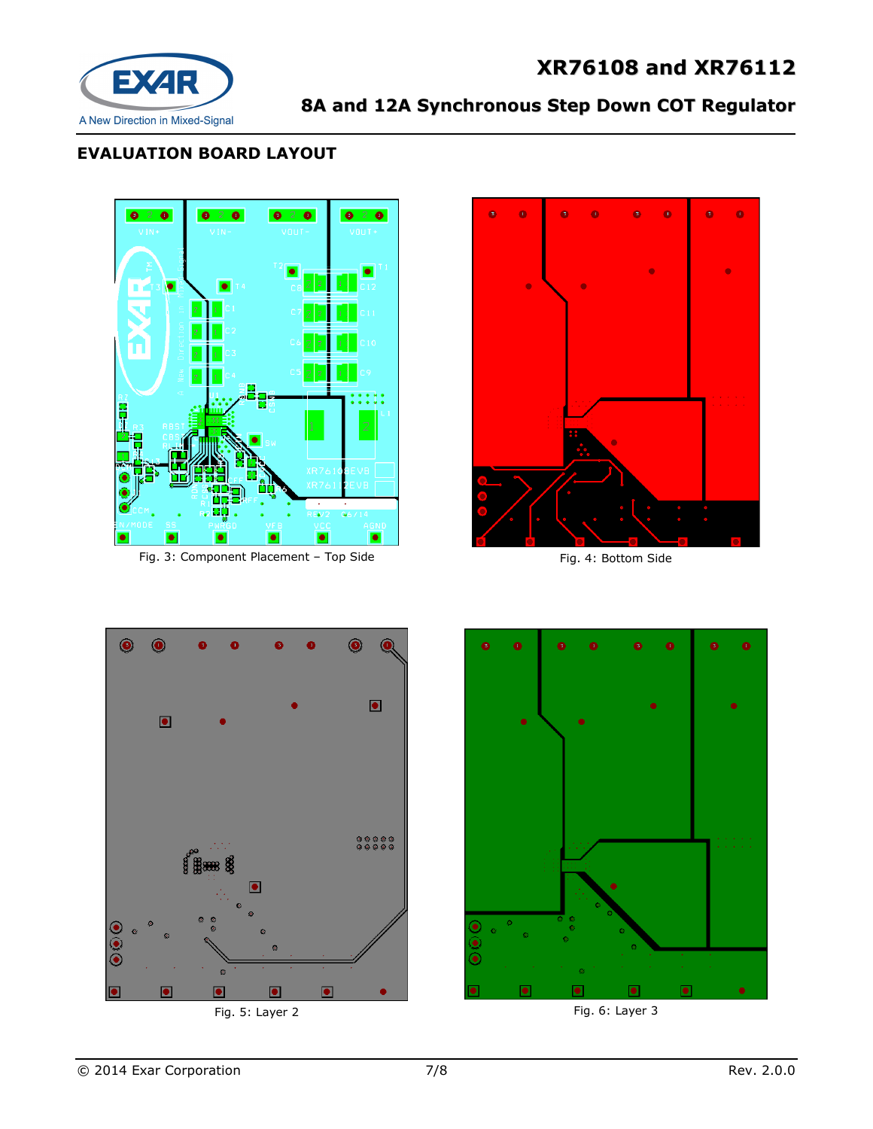# **XR76108 and XR76112**



# **8A and 12A Synchronous Step Down COT Regulator**

# **EVALUATION BOARD LAYOUT**



Fig. 3: Component Placement – Top Side Fig. 3: Component Placement – Top Side